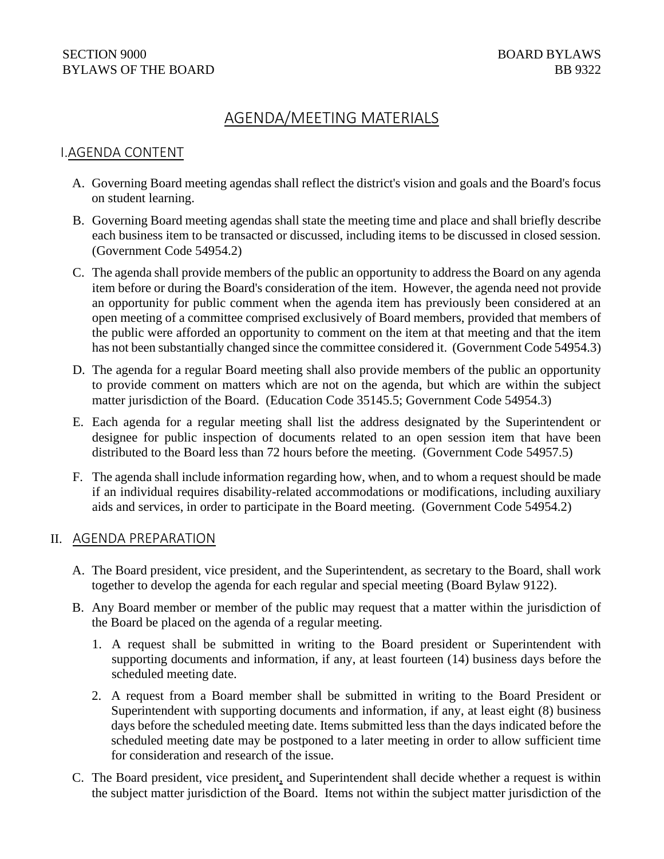#### SECTION 9000 BOARD BYLAWS BYLAWS OF THE BOARD BB 9322

# AGENDA/MEETING MATERIALS

# I.AGENDA CONTENT

- A. Governing Board meeting agendas shall reflect the district's vision and goals and the Board's focus on student learning.
- B. Governing Board meeting agendas shall state the meeting time and place and shall briefly describe each business item to be transacted or discussed, including items to be discussed in closed session. (Government Code 54954.2)
- C. The agenda shall provide members of the public an opportunity to address the Board on any agenda item before or during the Board's consideration of the item. However, the agenda need not provide an opportunity for public comment when the agenda item has previously been considered at an open meeting of a committee comprised exclusively of Board members, provided that members of the public were afforded an opportunity to comment on the item at that meeting and that the item has not been substantially changed since the committee considered it. (Government Code 54954.3)
- D. The agenda for a regular Board meeting shall also provide members of the public an opportunity to provide comment on matters which are not on the agenda, but which are within the subject matter jurisdiction of the Board. (Education Code 35145.5; Government Code 54954.3)
- E. Each agenda for a regular meeting shall list the address designated by the Superintendent or designee for public inspection of documents related to an open session item that have been distributed to the Board less than 72 hours before the meeting. (Government Code 54957.5)
- F. The agenda shall include information regarding how, when, and to whom a request should be made if an individual requires disability-related accommodations or modifications, including auxiliary aids and services, in order to participate in the Board meeting. (Government Code 54954.2)

#### II. AGENDA PREPARATION

- A. The Board president, vice president, and the Superintendent, as secretary to the Board, shall work together to develop the agenda for each regular and special meeting (Board Bylaw 9122).
- B. Any Board member or member of the public may request that a matter within the jurisdiction of the Board be placed on the agenda of a regular meeting.
	- 1. A request shall be submitted in writing to the Board president or Superintendent with supporting documents and information, if any, at least fourteen (14) business days before the scheduled meeting date.
	- 2. A request from a Board member shall be submitted in writing to the Board President or Superintendent with supporting documents and information, if any, at least eight (8) business days before the scheduled meeting date. Items submitted less than the days indicated before the scheduled meeting date may be postponed to a later meeting in order to allow sufficient time for consideration and research of the issue.
- C. The Board president, vice president, and Superintendent shall decide whether a request is within the subject matter jurisdiction of the Board. Items not within the subject matter jurisdiction of the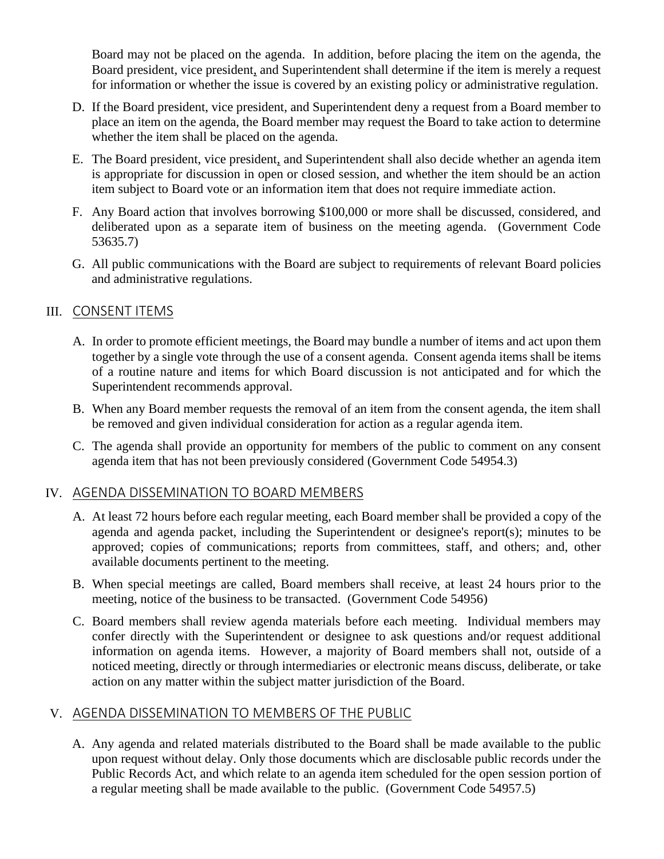Board may not be placed on the agenda. In addition, before placing the item on the agenda, the Board president, vice president, and Superintendent shall determine if the item is merely a request for information or whether the issue is covered by an existing policy or administrative regulation.

- D. If the Board president, vice president, and Superintendent deny a request from a Board member to place an item on the agenda, the Board member may request the Board to take action to determine whether the item shall be placed on the agenda.
- E. The Board president, vice president, and Superintendent shall also decide whether an agenda item is appropriate for discussion in open or closed session, and whether the item should be an action item subject to Board vote or an information item that does not require immediate action.
- F. Any Board action that involves borrowing \$100,000 or more shall be discussed, considered, and deliberated upon as a separate item of business on the meeting agenda. (Government Code 53635.7)
- G. All public communications with the Board are subject to requirements of relevant Board policies and administrative regulations.

# III. CONSENT ITEMS

- A. In order to promote efficient meetings, the Board may bundle a number of items and act upon them together by a single vote through the use of a consent agenda. Consent agenda items shall be items of a routine nature and items for which Board discussion is not anticipated and for which the Superintendent recommends approval.
- B. When any Board member requests the removal of an item from the consent agenda, the item shall be removed and given individual consideration for action as a regular agenda item.
- C. The agenda shall provide an opportunity for members of the public to comment on any consent agenda item that has not been previously considered (Government Code 54954.3)

# IV. AGENDA DISSEMINATION TO BOARD MEMBERS

- A. At least 72 hours before each regular meeting, each Board member shall be provided a copy of the agenda and agenda packet, including the Superintendent or designee's report(s); minutes to be approved; copies of communications; reports from committees, staff, and others; and, other available documents pertinent to the meeting.
- B. When special meetings are called, Board members shall receive, at least 24 hours prior to the meeting, notice of the business to be transacted. (Government Code 54956)
- C. Board members shall review agenda materials before each meeting. Individual members may confer directly with the Superintendent or designee to ask questions and/or request additional information on agenda items. However, a majority of Board members shall not, outside of a noticed meeting, directly or through intermediaries or electronic means discuss, deliberate, or take action on any matter within the subject matter jurisdiction of the Board.

# V. AGENDA DISSEMINATION TO MEMBERS OF THE PUBLIC

A. Any agenda and related materials distributed to the Board shall be made available to the public upon request without delay. Only those documents which are disclosable public records under the Public Records Act, and which relate to an agenda item scheduled for the open session portion of a regular meeting shall be made available to the public. (Government Code 54957.5)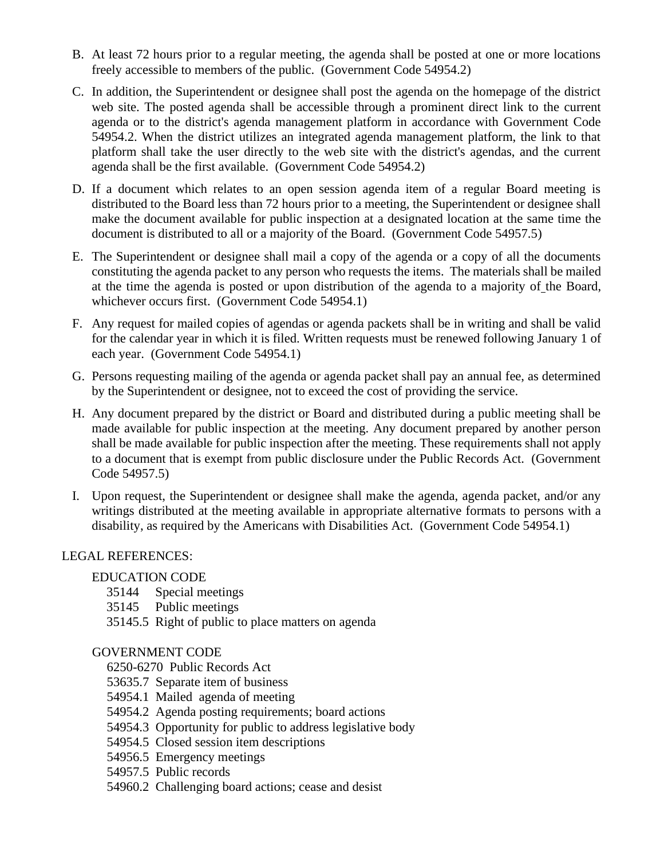- B. At least 72 hours prior to a regular meeting, the agenda shall be posted at one or more locations freely accessible to members of the public. (Government Code 54954.2)
- C. In addition, the Superintendent or designee shall post the agenda on the homepage of the district web site. The posted agenda shall be accessible through a prominent direct link to the current agenda or to the district's agenda management platform in accordance with Government Code 54954.2. When the district utilizes an integrated agenda management platform, the link to that platform shall take the user directly to the web site with the district's agendas, and the current agenda shall be the first available. (Government Code 54954.2)
- D. If a document which relates to an open session agenda item of a regular Board meeting is distributed to the Board less than 72 hours prior to a meeting, the Superintendent or designee shall make the document available for public inspection at a designated location at the same time the document is distributed to all or a majority of the Board. (Government Code 54957.5)
- E. The Superintendent or designee shall mail a copy of the agenda or a copy of all the documents constituting the agenda packet to any person who requests the items. The materials shall be mailed at the time the agenda is posted or upon distribution of the agenda to a majority of the Board, whichever occurs first. (Government Code 54954.1)
- F. Any request for mailed copies of agendas or agenda packets shall be in writing and shall be valid for the calendar year in which it is filed. Written requests must be renewed following January 1 of each year. (Government Code 54954.1)
- G. Persons requesting mailing of the agenda or agenda packet shall pay an annual fee, as determined by the Superintendent or designee, not to exceed the cost of providing the service.
- H. Any document prepared by the district or Board and distributed during a public meeting shall be made available for public inspection at the meeting. Any document prepared by another person shall be made available for public inspection after the meeting. These requirements shall not apply to a document that is exempt from public disclosure under the Public Records Act. (Government Code 54957.5)
- I. Upon request, the Superintendent or designee shall make the agenda, agenda packet, and/or any writings distributed at the meeting available in appropriate alternative formats to persons with a disability, as required by the Americans with Disabilities Act. (Government Code 54954.1)

# LEGAL REFERENCES:

# EDUCATION CODE

- 35144 Special meetings
- 35145 Public meetings
- 35145.5 Right of public to place matters on agenda

# GOVERNMENT CODE

6250-6270 Public Records Act

- 53635.7 Separate item of business
- 54954.1 Mailed agenda of meeting
- 54954.2 Agenda posting requirements; board actions
- 54954.3 Opportunity for public to address legislative body
- 54954.5 Closed session item descriptions
- 54956.5 Emergency meetings
- 54957.5 Public records
- 54960.2 Challenging board actions; cease and desist